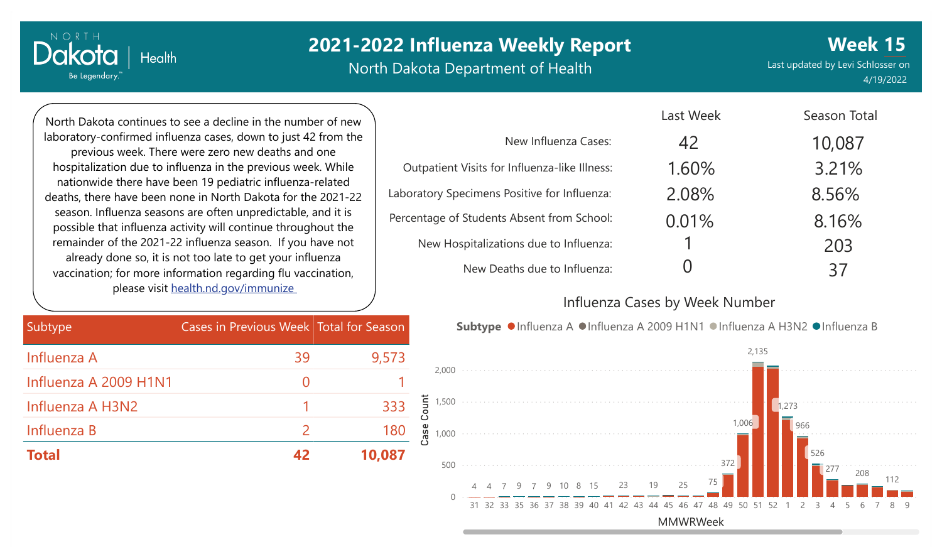# **2021-2022 Influenza Weekly Report**

North Dakota Department of Health

Last updated by Levi Schlosser on 4/19/2022 **Week 15**

Season Total

North Dakota continues to see a decline in the number of new laboratory-confirmed influenza cases, down to just 42 from the previous week. There were zero new deaths and one hospitalization due to influenza in the previous week. While nationwide there have been 19 pediatric influenza-related deaths, there have been none in North Dakota for the 2021-22 season. Influenza seasons are often unpredictable, and it is possible that influenza activity will continue throughout the remainder of the 2021-22 influenza season. If you have not already done so, it is not too late to get your influenza vaccination; for more information regarding flu vaccination, please visit [health.nd.gov/immunize](http://health.nd.gov/immunize)

**Health** 

NORTH

Dakota

Be Legendary.

| Subtype,              | Cases in Previous Week Total for Season |        |       |
|-----------------------|-----------------------------------------|--------|-------|
| Influenza A           | 39                                      | 9,573  |       |
| Influenza A 2009 H1N1 |                                         |        |       |
| Influenza A H3N2      |                                         | 333    | Count |
| Influenza B           | $\mathcal{P}$                           | 180    | ase   |
| <b>Total</b>          |                                         | 10.087 |       |

|                                               | Last week | Season Total |
|-----------------------------------------------|-----------|--------------|
| New Influenza Cases:                          | 42        | 10,087       |
| Outpatient Visits for Influenza-like Illness: | 1.60%     | 3.21%        |
| Laboratory Specimens Positive for Influenza:  | 2.08%     | 8.56%        |
| Percentage of Students Absent from School:    | 0.01%     | 8.16%        |
| New Hospitalizations due to Influenza:        |           | 203          |
| New Deaths due to Influenza:                  |           | 37           |

#### Influenza Cases by Week Number

 $L = L \cdot M / L = L$ 

Subtype ●Influenza A ●Influenza A 2009 H1N1 ●Influenza A H3N2 ●Influenza B

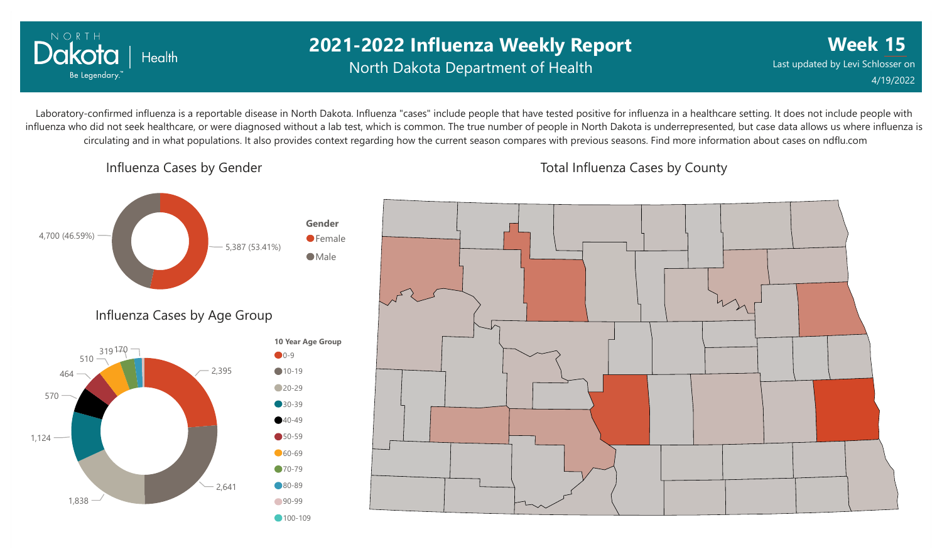

### **2021-2022 Influenza Weekly Report** North Dakota Department of Health

**Week 15** Last updated by Levi Schlosser on 4/19/2022

Laboratory-confirmed influenza is a reportable disease in North Dakota. Influenza "cases" include people that have tested positive for influenza in a healthcare setting. It does not include people with influenza who did not seek healthcare, or were diagnosed without a lab test, which is common. The true number of people in North Dakota is underrepresented, but case data allows us where influenza is circulating and in what populations. It also provides context regarding how the current season compares with previous seasons. Find more information about cases on ndflu.com

Influenza Cases by Gender



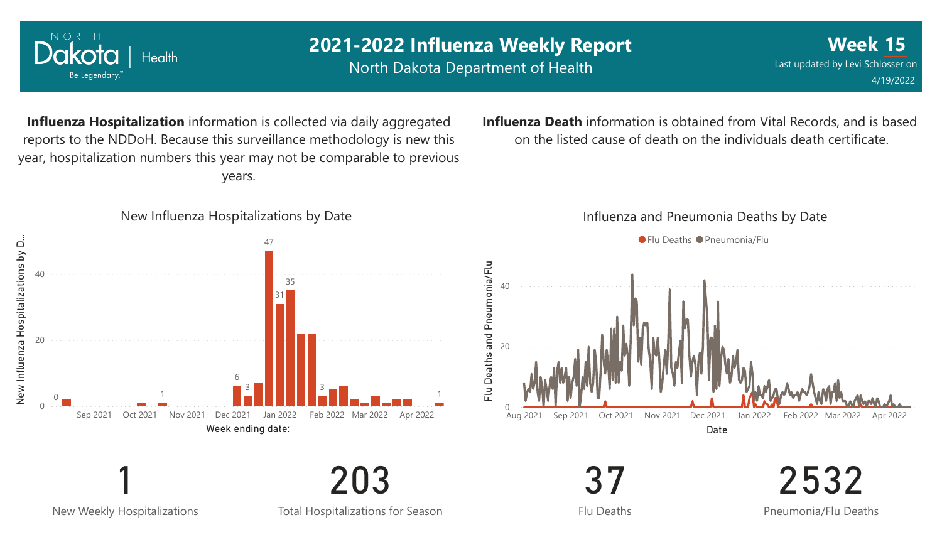

New Weekly Hospitalizations

Total Hospitalizations for Season

203

Flu Deaths

Pneumonia/Flu Deaths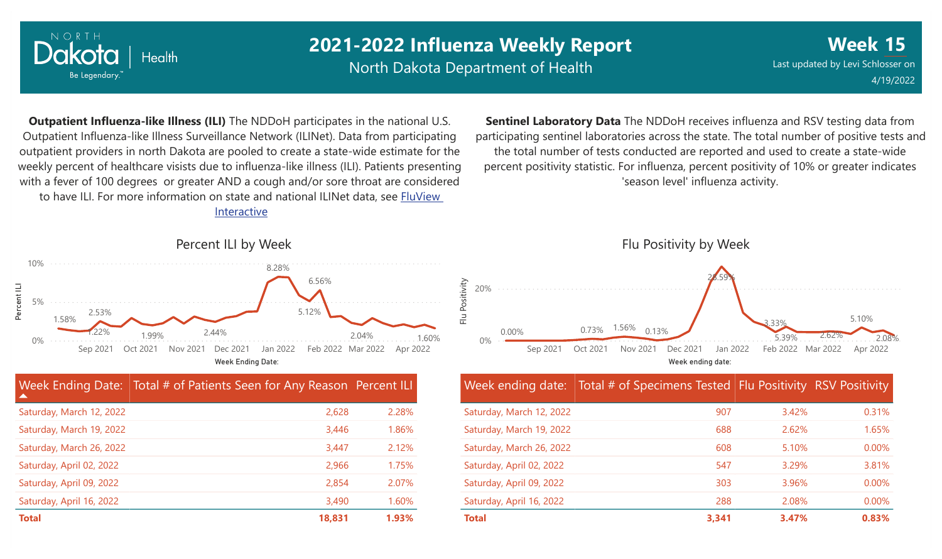

0%

5%

Percent ILI

10%

## **2021-2022 Influenza Weekly Report**

North Dakota Department of Health

**Week 15** Last updated by Levi Schlosser on 4/19/2022

**Outpatient Influenza-like Illness (ILI)** The NDDoH participates in the national U.S. Outpatient Influenza-like Illness Surveillance Network (ILINet). Data from participating outpatient providers in north Dakota are pooled to create a state-wide estimate for the weekly percent of healthcare visists due to influenza-like illness (ILI). Patients presenting with a fever of 100 degrees or greater AND a cough and/or sore throat are considered to have ILI. For more information [on state and national ILINet data, see FluView](http://fluview%20interactive/) Interactive

**Sentinel Laboratory Data** The NDDoH receives influenza and RSV testing data from participating sentinel laboratories across the state. The total number of positive tests and the total number of tests conducted are reported and used to create a state-wide percent positivity statistic. For influenza, percent positivity of 10% or greater indicates 'season level' influenza activity.



| ▲                        | Week Ending Date: Total # of Patients Seen for Any Reason Percent ILI |       |
|--------------------------|-----------------------------------------------------------------------|-------|
| Saturday, March 12, 2022 | 2,628                                                                 | 2.28% |
| Saturday, March 19, 2022 | 3,446                                                                 | 1.86% |
| Saturday, March 26, 2022 | 3.447                                                                 | 2.12% |
| Saturday, April 02, 2022 | 2,966                                                                 | 1.75% |
| Saturday, April 09, 2022 | 2,854                                                                 | 2.07% |
| Saturday, April 16, 2022 | 3,490                                                                 | 1.60% |
| <b>Total</b>             | 18,831                                                                | 1.93% |



|                          | Week ending date: Total # of Specimens Tested Flu Positivity RSV Positivity |       |          |
|--------------------------|-----------------------------------------------------------------------------|-------|----------|
| Saturday, March 12, 2022 | 907                                                                         | 3.42% | 0.31%    |
| Saturday, March 19, 2022 | 688                                                                         | 2.62% | 1.65%    |
| Saturday, March 26, 2022 | 608                                                                         | 5.10% | $0.00\%$ |
| Saturday, April 02, 2022 | 547                                                                         | 3.29% | 3.81%    |
| Saturday, April 09, 2022 | 303                                                                         | 3.96% | $0.00\%$ |
| Saturday, April 16, 2022 | 288                                                                         | 2.08% | 0.00%    |
| <b>Total</b>             | 3,341                                                                       | 3.47% | 0.83%    |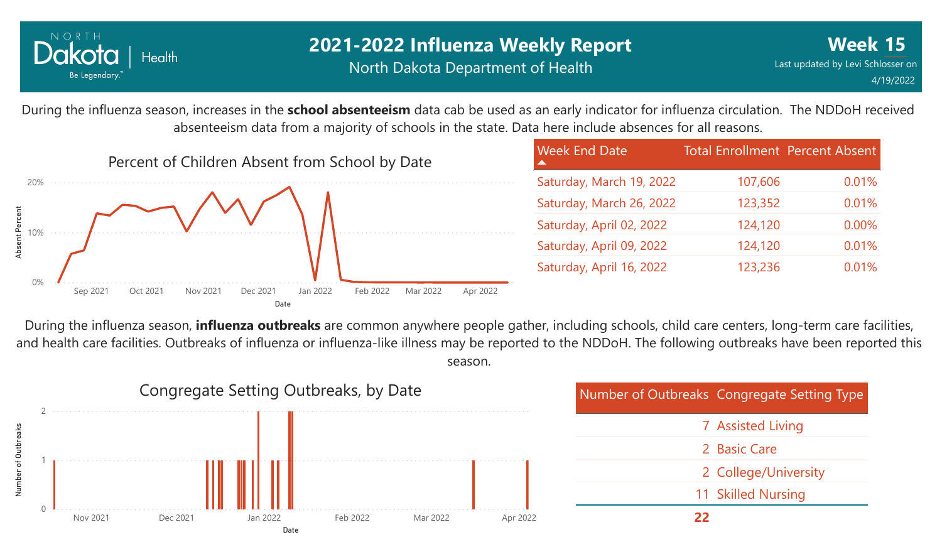

### **2021-2022 Influenza Weekly Report** North Dakota Department of Health

0.01%

0.01%

0.00%

0.01%

0.01%

During the influenza season, increases in the **school absenteeism** data cab be used as an early indicator for influenza circulation. The NDDoH received absenteeism data from a majority of schools in the state. Data here include absences for all reasons.



During the influenza season, **influenza outbreaks** are common anywhere people gather, including schools, child care centers, long-term care facilities, and health care facilities. Outbreaks of influenza or influenza-like illness may be reported to the NDDoH. The following outbreaks have been reported this season.

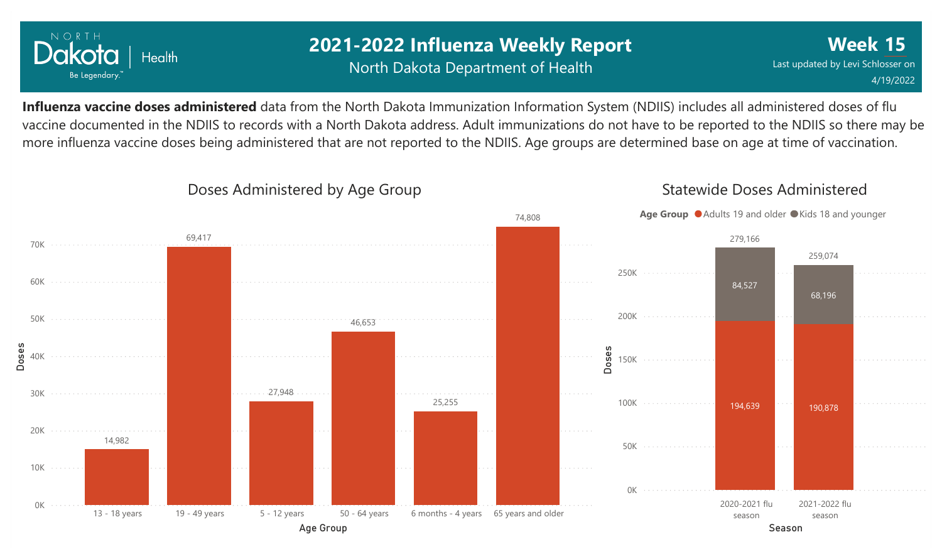

### **2021-2022 Influenza Weekly Report** North Dakota Department of Health

**Week 15** Last updated by Levi Schlosser on 4/19/2022

**Influenza vaccine doses administered** data from the North Dakota Immunization Information System (NDIIS) includes all administered doses of flu vaccine documented in the NDIIS to records with a North Dakota address. Adult immunizations do not have to be reported to the NDIIS so there may be more influenza vaccine doses being administered that are not reported to the NDIIS. Age groups are determined base on age at time of vaccination.



### Doses Administered by Age Group

Statewide Doses Administered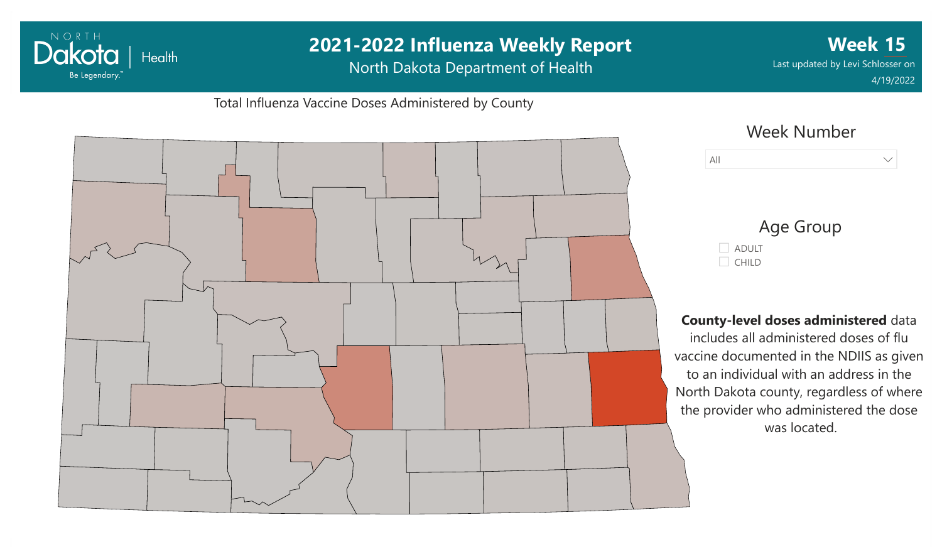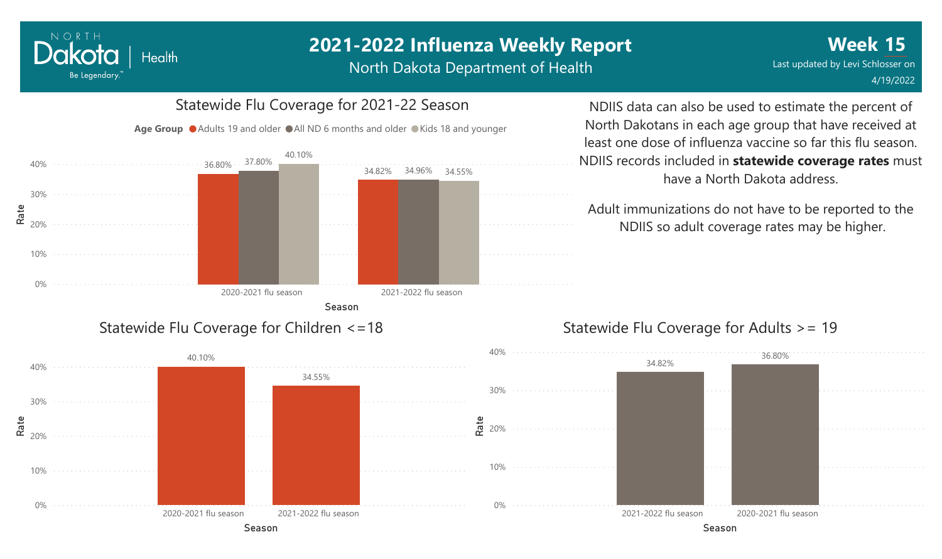# **2021-2022 Influenza Weekly Report**

North Dakota Department of Health

#### 0% 10%  $\frac{\texttt{de}}{\texttt{x}}_{20\%}$ 30% 40% Season 2020-2021 flu season 2021-2022 flu season 36.80% 34.82% 37.80% 34.96% 40.10% 34.55% Statewide Flu Coverage for Children <=18

NORTH

Dakota

Be Legendary.

**Health** 

## Statewide Flu Coverage for 2021-22 Season

Age Group  $\bullet$  Adults 19 and older  $\bullet$  All ND 6 months and older  $\bullet$  Kids 18 and younger

NDIIS data can also be used to estimate the percent of North Dakotans in each age group that have received at least one dose of influenza vaccine so far this flu season. NDIIS records included in **statewide coverage rates** must have a North Dakota address.

Adult immunizations do not have to be reported to the NDIIS so adult coverage rates may be higher.

### Statewide Flu Coverage for Adults >= 19